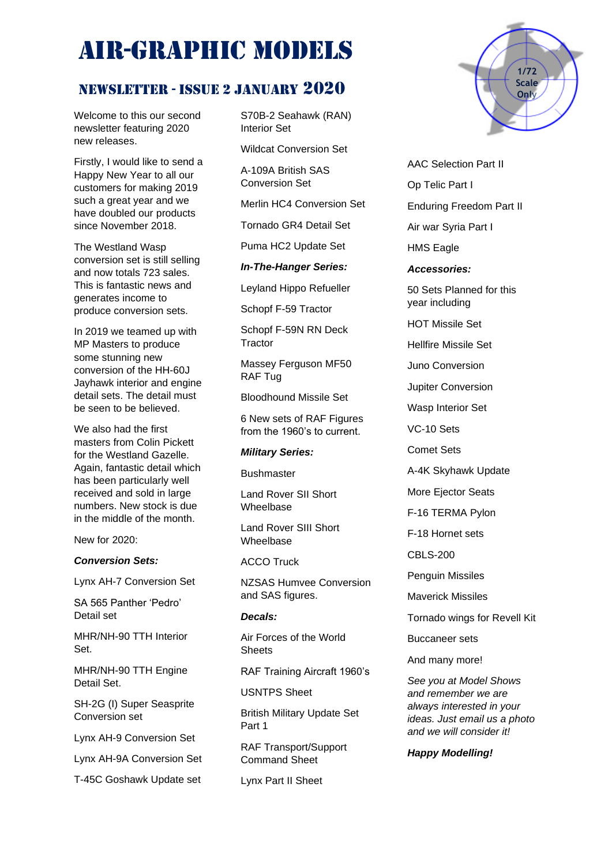# AIR-GRAPHIC MODELS

# NEWSLETTER - ISSUE 2 January 2020

Welcome to this our second newsletter featuring 2020 new releases.

Firstly, I would like to send a Happy New Year to all our customers for making 2019 such a great year and we have doubled our products since November 2018.

The Westland Wasp conversion set is still selling and now totals 723 sales. This is fantastic news and generates income to produce conversion sets.

In 2019 we teamed up with MP Masters to produce some stunning new conversion of the HH-60J Jayhawk interior and engine detail sets. The detail must be seen to be believed.

We also had the first masters from Colin Pickett for the Westland Gazelle. Again, fantastic detail which has been particularly well received and sold in large numbers. New stock is due in the middle of the month.

New for 2020:

## *Conversion Sets:*

Lynx AH-7 Conversion Set

SA 565 Panther 'Pedro' Detail set

MHR/NH-90 TTH Interior Set.

MHR/NH-90 TTH Engine Detail Set.

SH-2G (I) Super Seasprite Conversion set

Lynx AH-9 Conversion Set

Lynx AH-9A Conversion Set

T-45C Goshawk Update set

S70B-2 Seahawk (RAN) Interior Set

Wildcat Conversion Set

A-109A British SAS Conversion Set

Merlin HC4 Conversion Set

Tornado GR4 Detail Set

Puma HC2 Update Set

*In-The-Hanger Series:*

Leyland Hippo Refueller

Schopf F-59 Tractor

Schopf F-59N RN Deck **Tractor** 

Massey Ferguson MF50 RAF Tug

Bloodhound Missile Set

6 New sets of RAF Figures from the 1960's to current.

#### *Military Series:*

**Bushmaster** 

Land Rover SII Short Wheelbase

Land Rover SIII Short Wheelbase

ACCO Truck

NZSAS Humvee Conversion and SAS figures.

# *Decals:*

Air Forces of the World **Sheets** 

RAF Training Aircraft 1960's

USNTPS Sheet

British Military Update Set Part 1

RAF Transport/Support Command Sheet

Lynx Part II Sheet



AAC Selection Part II

Op Telic Part I

Enduring Freedom Part II

Air war Syria Part I

HMS Eagle

*Accessories:*

50 Sets Planned for this year including

HOT Missile Set

Hellfire Missile Set

Juno Conversion

Jupiter Conversion

Wasp Interior Set

VC-10 Sets

Comet Sets

A-4K Skyhawk Update

More Ejector Seats

F-16 TERMA Pylon

F-18 Hornet sets

CBLS-200

Penguin Missiles

Maverick Missiles

Tornado wings for Revell Kit

Buccaneer sets

And many more!

*See you at Model Shows and remember we are always interested in your ideas. Just email us a photo and we will consider it!*

## *Happy Modelling!*